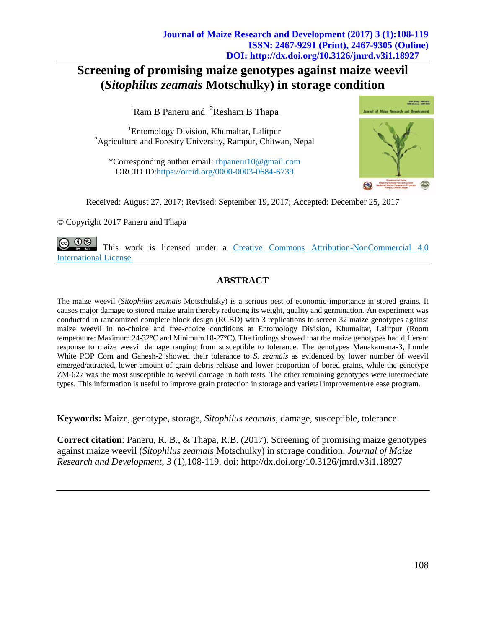# **Screening of promising maize genotypes against maize weevil (***Sitophilus zeamais* **Motschulky) in storage condition**

 ${}^{1}$ Ram B Paneru and  ${}^{2}$ Resham B Thapa

<sup>1</sup>Entomology Division, Khumaltar, Lalitpur <sup>2</sup>Agriculture and Forestry University, Rampur, Chitwan, Nepal

\*Corresponding author email: rbpaneru10@gmail.com ORCID ID:https://orcid.org/0000-0003-0684-6739



Received: August 27, 2017; Revised: September 19, 2017; Accepted: December 25, 2017

*©* Copyright 2017 Paneru and Thapa

 $(i)$ (\$) This work is licensed under a [Creative Commons Attribution-NonCommercial 4.0](https://creativecommons.org/licenses/by-nc/4.0/legalcode)  [International](https://creativecommons.org/licenses/by-nc/4.0/legalcode) License.

# **ABSTRACT**

The maize weevil (*Sitophilus zeamais* Motschulsky) is a serious pest of economic importance in stored grains. It causes major damage to stored maize grain thereby reducing its weight, quality and germination. An experiment was conducted in randomized complete block design (RCBD) with 3 replications to screen 32 maize genotypes against maize weevil in no-choice and free-choice conditions at Entomology Division, Khumaltar, Lalitpur (Room temperature: Maximum 24-32°C and Minimum 18-27°C). The findings showed that the maize genotypes had different response to maize weevil damage ranging from susceptible to tolerance. The genotypes Manakamana-3, Lumle White POP Corn and Ganesh-2 showed their tolerance to *S. zeamais* as evidenced by lower number of weevil emerged/attracted, lower amount of grain debris release and lower proportion of bored grains, while the genotype ZM-627 was the most susceptible to weevil damage in both tests. The other remaining genotypes were intermediate types. This information is useful to improve grain protection in storage and varietal improvement/release program.

**Keywords:** Maize, genotype, storage, *Sitophilus zeamais*, damage, susceptible, tolerance

**Correct citation**: Paneru, R. B., & Thapa, R.B. (2017). Screening of promising maize genotypes against maize weevil (*Sitophilus zeamais* Motschulky) in storage condition. *Journal of Maize Research and Development*, *3* (1),108-119. doi: http://dx.doi.org/10.3126/jmrd.v3i1.18927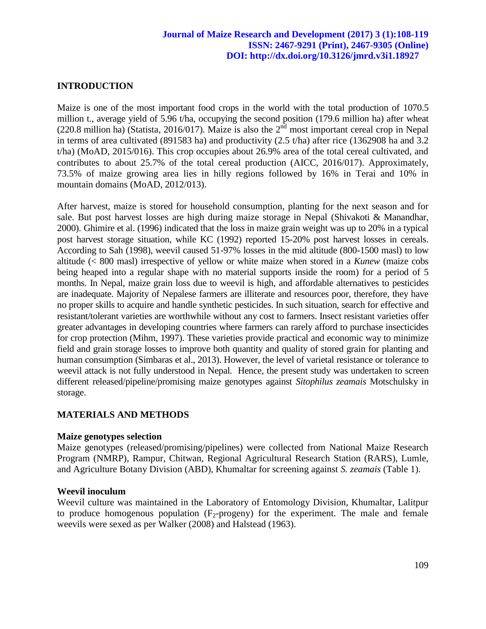# **INTRODUCTION**

Maize is one of the most important food crops in the world with the total production of 1070.5 million t., average yield of 5.96 t/ha, occupying the second position (179.6 million ha) after wheat  $(220.8 \text{ million ha})$  [\(Statista,](https://www.statista.com/statistics/263977/%20world-grain-production-by-type/) 2016/017). Maize is also the  $2<sup>nd</sup>$  most important cereal crop in Nepal in terms of area cultivated (891583 ha) and productivity (2.5 t/ha) after rice (1362908 ha and 3.2 t/ha) (MoAD, 2015/016). This crop occupies about 26.9% area of the total cereal cultivated, and contributes to about 25.7% of the total cereal production (AICC, 2016/017). Approximately, 73.5% of maize growing area lies in hilly regions followed by 16% in Terai and 10% in mountain domains (MoAD, 2012/013).

After harvest, maize is stored for household consumption, planting for the next season and for sale. But post harvest losses are high during maize storage in Nepal (Shivakoti & Manandhar, 2000). Ghimire et al. (1996) indicated that the loss in maize grain weight was up to 20% in a typical post harvest storage situation, while KC (1992) reported 15-20% post harvest losses in cereals. According to Sah (1998), weevil caused 51-97% losses in the mid altitude (800-1500 masl) to low altitude (< 800 masl) irrespective of yellow or white maize when stored in a *Kunew* (maize cobs being heaped into a regular shape with no material supports inside the room) for a period of 5 months. In Nepal, maize grain loss due to weevil is high, and affordable alternatives to pesticides are inadequate. Majority of Nepalese farmers are illiterate and resources poor, therefore, they have no proper skills to acquire and handle synthetic pesticides. In such situation, search for effective and resistant/tolerant varieties are worthwhile without any cost to farmers. Insect resistant varieties offer greater advantages in developing countries where farmers can rarely afford to purchase insecticides for crop protection (Mihm, 1997). These varieties provide practical and economic way to minimize field and grain storage losses to improve both quantity and quality of stored grain for planting and human consumption (Simbaras et al., 2013). However, the level of varietal resistance or tolerance to weevil attack is not fully understood in Nepal. Hence, the present study was undertaken to screen different released/pipeline/promising maize genotypes against *Sitophilus zeamais* Motschulsky in storage.

### **MATERIALS AND METHODS**

### **Maize genotypes selection**

Maize genotypes (released/promising/pipelines) were collected from National Maize Research Program (NMRP), Rampur, Chitwan, Regional Agricultural Research Station (RARS), Lumle, and Agriculture Botany Division (ABD), Khumaltar for screening against *S. zeamais* (Table 1).

#### **Weevil inoculum**

Weevil culture was maintained in the Laboratory of Entomology Division, Khumaltar, Lalitpur to produce homogenous population  $(F_2$ -progeny) for the experiment. The male and female weevils were sexed as per Walker (2008) and Halstead (1963).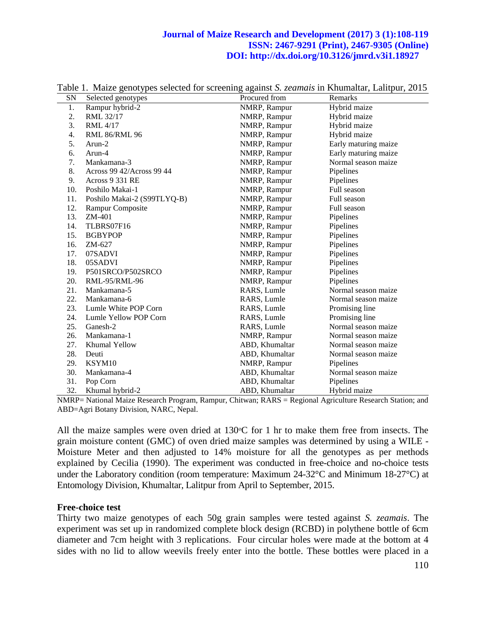| SN  | Selected genotypes          | Procured from  | Remarks              |
|-----|-----------------------------|----------------|----------------------|
| 1.  | Rampur hybrid-2             | NMRP, Rampur   | Hybrid maize         |
| 2.  | RML 32/17                   | NMRP, Rampur   | Hybrid maize         |
| 3.  | RML 4/17                    | NMRP, Rampur   | Hybrid maize         |
| 4.  | <b>RML 86/RML 96</b>        | NMRP, Rampur   | Hybrid maize         |
| 5.  | $Arun-2$                    | NMRP, Rampur   | Early maturing maize |
| 6.  | Arun-4                      | NMRP, Rampur   | Early maturing maize |
| 7.  | Mankamana-3                 | NMRP, Rampur   | Normal season maize  |
| 8.  | Across 99 42/Across 99 44   | NMRP, Rampur   | Pipelines            |
| 9.  | Across 9 331 RE             | NMRP, Rampur   | Pipelines            |
| 10. | Poshilo Makai-1             | NMRP, Rampur   | Full season          |
| 11. | Poshilo Makai-2 (S99TLYQ-B) | NMRP, Rampur   | Full season          |
| 12. | Rampur Composite            | NMRP, Rampur   | Full season          |
| 13. | ZM-401                      | NMRP, Rampur   | Pipelines            |
| 14. | TLBRS07F16                  | NMRP, Rampur   | Pipelines            |
| 15. | <b>BGBYPOP</b>              | NMRP, Rampur   | Pipelines            |
| 16. | ZM-627                      | NMRP, Rampur   | Pipelines            |
| 17. | 07SADVI                     | NMRP, Rampur   | Pipelines            |
| 18. | 05SADVI                     | NMRP, Rampur   | Pipelines            |
| 19. | P501SRCO/P502SRCO           | NMRP, Rampur   | Pipelines            |
| 20. | RML-95/RML-96               | NMRP, Rampur   | Pipelines            |
| 21. | Mankamana-5                 | RARS, Lumle    | Normal season maize  |
| 22. | Mankamana-6                 | RARS, Lumle    | Normal season maize  |
| 23. | Lumle White POP Corn        | RARS, Lumle    | Promising line       |
| 24. | Lumle Yellow POP Corn       | RARS, Lumle    | Promising line       |
| 25. | Ganesh-2                    | RARS, Lumle    | Normal season maize  |
| 26. | Mankamana-1                 | NMRP, Rampur   | Normal season maize  |
| 27. | Khumal Yellow               | ABD, Khumaltar | Normal season maize  |
| 28. | Deuti                       | ABD, Khumaltar | Normal season maize  |
| 29. | KSYM10                      | NMRP, Rampur   | Pipelines            |
| 30. | Mankamana-4                 | ABD, Khumaltar | Normal season maize  |
| 31. | Pop Corn                    | ABD, Khumaltar | Pipelines            |
| 32. | Khumal hybrid-2             | ABD, Khumaltar | Hybrid maize         |

Table 1. Maize genotypes selected for screening against *S. zeamais* in Khumaltar, Lalitpur, 2015

NMRP= National Maize Research Program, Rampur, Chitwan; RARS = Regional Agriculture Research Station; and ABD=Agri Botany Division, NARC, Nepal.

All the maize samples were oven dried at  $130^{\circ}$ C for 1 hr to make them free from insects. The grain moisture content (GMC) of oven dried maize samples was determined by using a WILE - Moisture Meter and then adjusted to 14% moisture for all the genotypes as per methods explained by Cecilia (1990). The experiment was conducted in free-choice and no-choice tests under the Laboratory condition (room temperature: Maximum 24-32°C and Minimum 18-27°C) at Entomology Division, Khumaltar, Lalitpur from April to September, 2015.

### **Free-choice test**

Thirty two maize genotypes of each 50g grain samples were tested against *S. zeamais*. The experiment was set up in randomized complete block design (RCBD) in polythene bottle of 6cm diameter and 7cm height with 3 replications. Four circular holes were made at the bottom at 4 sides with no lid to allow weevils freely enter into the bottle. These bottles were placed in a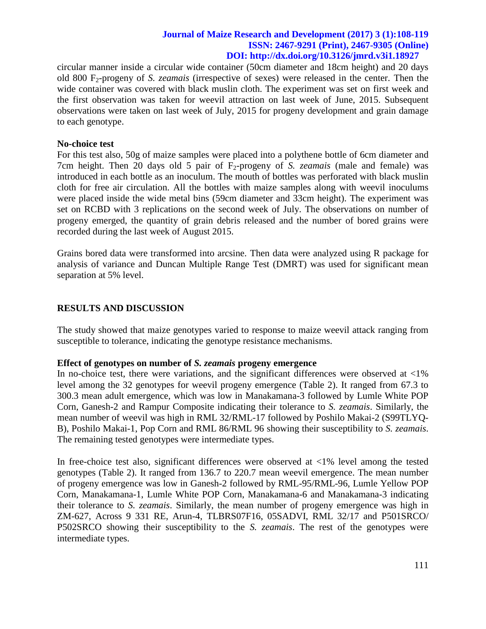circular manner inside a circular wide container (50cm diameter and 18cm height) and 20 days old 800 F2-progeny of *S. zeamais* (irrespective of sexes) were released in the center. Then the wide container was covered with black muslin cloth. The experiment was set on first week and the first observation was taken for weevil attraction on last week of June, 2015. Subsequent observations were taken on last week of July, 2015 for progeny development and grain damage to each genotype.

#### **No-choice test**

For this test also, 50g of maize samples were placed into a polythene bottle of 6cm diameter and 7cm height. Then 20 days old 5 pair of  $F_2$ -progeny of *S. zeamais* (male and female) was introduced in each bottle as an inoculum. The mouth of bottles was perforated with black muslin cloth for free air circulation. All the bottles with maize samples along with weevil inoculums were placed inside the wide metal bins (59cm diameter and 33cm height). The experiment was set on RCBD with 3 replications on the second week of July. The observations on number of progeny emerged, the quantity of grain debris released and the number of bored grains were recorded during the last week of August 2015.

Grains bored data were transformed into arcsine. Then data were analyzed using R package for analysis of variance and Duncan Multiple Range Test (DMRT) was used for significant mean separation at 5% level.

## **RESULTS AND DISCUSSION**

The study showed that maize genotypes varied to response to maize weevil attack ranging from susceptible to tolerance, indicating the genotype resistance mechanisms.

### **Effect of genotypes on number of** *S. zeamais* **progeny emergence**

In no-choice test, there were variations, and the significant differences were observed at  $\langle 1\% \rangle$ level among the 32 genotypes for weevil progeny emergence (Table 2). It ranged from 67.3 to 300.3 mean adult emergence, which was low in Manakamana-3 followed by Lumle White POP Corn, Ganesh-2 and Rampur Composite indicating their tolerance to *S. zeamais*. Similarly, the mean number of weevil was high in RML 32/RML-17 followed by Poshilo Makai-2 (S99TLYQ-B), Poshilo Makai-1, Pop Corn and RML 86/RML 96 showing their susceptibility to *S. zeamais*. The remaining tested genotypes were intermediate types.

In free-choice test also, significant differences were observed at <1% level among the tested genotypes (Table 2). It ranged from 136.7 to 220.7 mean weevil emergence. The mean number of progeny emergence was low in Ganesh-2 followed by RML-95/RML-96, Lumle Yellow POP Corn, Manakamana-1, Lumle White POP Corn, Manakamana-6 and Manakamana-3 indicating their tolerance to *S. zeamais*. Similarly, the mean number of progeny emergence was high in ZM-627, Across 9 331 RE, Arun-4, TLBRS07F16, 05SADVI, RML 32/17 and P501SRCO/ P502SRCO showing their susceptibility to the *S. zeamais*. The rest of the genotypes were intermediate types.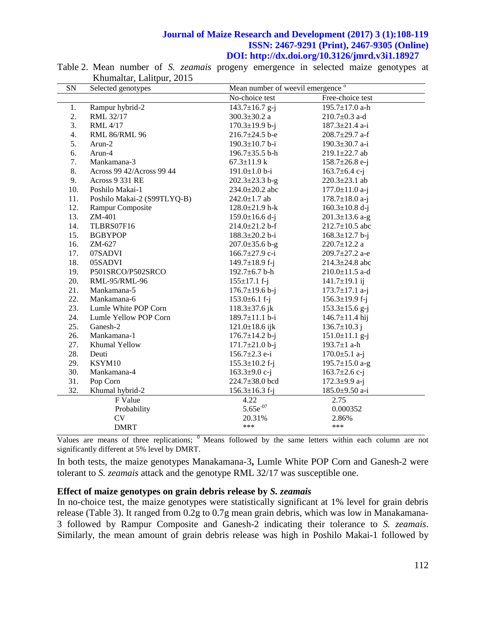| SN  | Selected genotypes          |                           | Mean number of weevil emergence <sup>o</sup> |  |
|-----|-----------------------------|---------------------------|----------------------------------------------|--|
|     |                             | No-choice test            | Free-choice test                             |  |
| 1.  | Rampur hybrid-2             | $143.7 \pm 16.7$ g-j      | 195.7±17.0 a-h                               |  |
| 2.  | RML 32/17                   | $300.3 \pm 30.2$ a        | $210.7 \pm 0.3$ a-d                          |  |
| 3.  | RML 4/17                    | $170.3 \pm 19.9$ b-j      | $187.3 \pm 21.4$ a-i                         |  |
| 4.  | <b>RML 86/RML 96</b>        | $216.7 \pm 24.5$ b-e      | $208.7 \pm 29.7$ a-f                         |  |
| 5.  | Arun-2                      | $190.3 \pm 10.7$ b-i      | 190.3±30.7 a-i                               |  |
| 6.  | Arun-4                      | 196.7 $\pm$ 35.5 b-h      | 219.1±22.7 ab                                |  |
| 7.  | Mankamana-3                 | $67.3 \pm 11.9 \text{ k}$ | $158.7 \pm 26.8$ e-j                         |  |
| 8.  | Across 99 42/Across 99 44   | $191.0 \pm 1.0 b - i$     | $163.7 \pm 6.4$ c-j                          |  |
| 9.  | Across 9 331 RE             | $202.3 \pm 23.3$ b-g      | $220.3 \pm 23.1$ ab                          |  |
| 10. | Poshilo Makai-1             | $234.0 \pm 20.2$ abc      | $177.0 \pm 11.0$ a-j                         |  |
| 11. | Poshilo Makai-2 (S99TLYQ-B) | $242.0 \pm 1.7$ ab        | $178.7 \pm 18.0$ a-j                         |  |
| 12. | Rampur Composite            | $128.0 \pm 21.9$ h-k      | $160.3 \pm 10.8$ d-j                         |  |
| 13. | ZM-401                      | $159.0 \pm 16.6$ d-j      | $201.3 \pm 13.6$ a-g                         |  |
| 14. | TLBRS07F16                  | $214.0 \pm 21.2$ b-f      | $212.7 \pm 10.5$ abc                         |  |
| 15. | <b>BGBYPOP</b>              | $188.3 \pm 20.2$ b-i      | $168.3 \pm 12.7$ b-j                         |  |
| 16. | ZM-627                      | $207.0 \pm 35.6$ b-g      | $220.7 \pm 12.2$ a                           |  |
| 17. | 07SADVI                     | 166.7 $\pm$ 27.9 c-i      | 209.7±27.2 a-e                               |  |
| 18. | 05SADVI                     | 149.7 $\pm$ 18.9 f-j      | $214.3 \pm 24.8$ abc                         |  |
| 19. | P501SRCO/P502SRCO           | 192.7 $\pm$ 6.7 b-h       | $210.0 \pm 11.5$ a-d                         |  |
| 20. | RML-95/RML-96               | $155 \pm 17.1$ f-j        | $141.7 \pm 19.1$ ij                          |  |
| 21. | Mankamana-5                 | $176.7 \pm 19.6$ b-j      | $173.7 \pm 17.1$ a-j                         |  |
| 22. | Mankamana-6                 | $153.0 \pm 6.1$ f-j       | $156.3 \pm 19.9$ f-j                         |  |
| 23. | Lumle White POP Corn        | $118.3 \pm 37.6$ jk       | $153.3 \pm 15.6$ g-j                         |  |
| 24. | Lumle Yellow POP Corn       | $189.7 \pm 11.1$ b-i      | $146.7 \pm 11.4$ hij                         |  |
| 25. | Ganesh-2                    | $121.0 \pm 18.6$ ijk      | $136.7 \pm 10.3$ j                           |  |
| 26. | Mankamana-1                 | $176.7 \pm 14.2$ b-j      | $151.0 \pm 11.1$ g-j                         |  |
| 27. | Khumal Yellow               | $171.7 \pm 21.0$ b-j      | 193.7 $\pm$ 1 a-h                            |  |
| 28. | Deuti                       | $156.7 \pm 2.3$ e-i       | $170.0 \pm 5.1$ a-j                          |  |
| 29. | KSYM10                      | $155.3 \pm 10.2$ f-j      | 195.7 $\pm$ 15.0 a-g                         |  |
| 30. | Mankamana-4                 | $163.3 \pm 9.0$ c-j       | 163.7 $\pm$ 2.6 c-j                          |  |
| 31. | Pop Corn                    | $224.7 \pm 38.0$ bcd      | 172.3 $\pm$ 9.9 a-j                          |  |
| 32. | Khumal hybrid-2             | $156.3 \pm 16.3$ f-j      | 185.0±9.50 a-i                               |  |
|     | F Value                     | 4.22                      | 2.75                                         |  |
|     | Probability                 | $5.65e^{-07}$             | 0.000352                                     |  |
|     | CV                          | 20.31%                    | 2.86%                                        |  |
|     | <b>DMRT</b>                 | ***                       | ***                                          |  |

Table 2. Mean number of *S. zeamais* progeny emergence in selected maize genotypes at Khumaltar, Lalitpur, 2015

Values are means of three replications;  $\delta$  Means followed by the same letters within each column are not significantly different at 5% level by DMRT.

In both tests, the maize genotypes Manakamana-3**,** Lumle White POP Corn and Ganesh-2 were tolerant to *S. zeamais* attack and the genotype RML 32/17 was susceptible one.

#### **Effect of maize genotypes on grain debris release by** *S. zeamais*

In no-choice test, the maize genotypes were statistically significant at 1% level for grain debris release (Table 3). It ranged from 0.2g to 0.7g mean grain debris, which was low in Manakamana-3 followed by Rampur Composite and Ganesh-2 indicating their tolerance to *S. zeamais*. Similarly, the mean amount of grain debris release was high in Poshilo Makai-1 followed by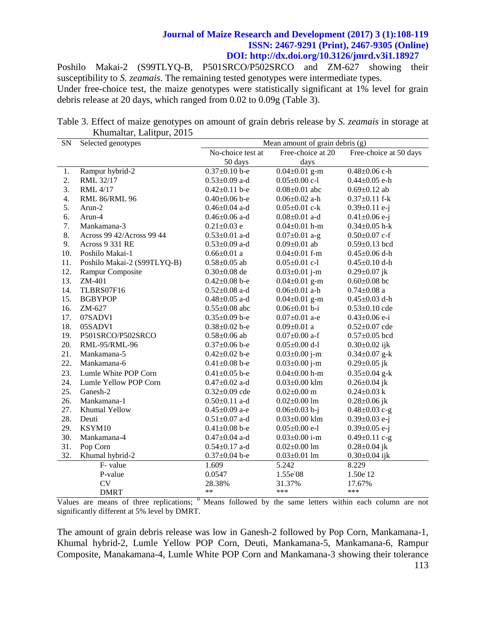Poshilo Makai-2 (S99TLYQ-B, P501SRCO/P502SRCO and ZM-627 showing their susceptibility to *S. zeamais*. The remaining tested genotypes were intermediate types. Under free-choice test, the maize genotypes were statistically significant at 1% level for grain debris release at 20 days, which ranged from 0.02 to 0.09g (Table 3).

Table 3. Effect of maize genotypes on amount of grain debris release by *S. zeamais* in storage at Khumaltar, Lalitpur, 2015

| SN  | Selected genotypes          | Mean amount of grain debris (g) |                     |                        |
|-----|-----------------------------|---------------------------------|---------------------|------------------------|
|     |                             | No-choice test at               | Free-choice at 20   | Free-choice at 50 days |
|     |                             | 50 days                         | days                |                        |
| 1.  | Rampur hybrid-2             | $\overline{0.37}$ ±0.10 b-e     | $0.04 \pm 0.01$ g-m | $0.48 \pm 0.06$ c-h    |
| 2.  | RML 32/17                   | $0.53 \pm 0.09$ a-d             | $0.05 \pm 0.00$ c-1 | $0.44 \pm 0.05$ e-h    |
| 3.  | <b>RML</b> 4/17             | $0.42 \pm 0.11$ b-e             | $0.08 \pm 0.01$ abc | $0.69 \pm 0.12$ ab     |
| 4.  | <b>RML 86/RML 96</b>        | $0.40 \pm 0.06$ b-e             | $0.06 \pm 0.02$ a-h | $0.37 \pm 0.11$ f-k    |
| 5.  | Arun-2                      | $0.46 \pm 0.04$ a-d             | $0.05 \pm 0.01$ c-k | $0.39 \pm 0.11$ e-j    |
| 6.  | Arun-4                      | $0.46 \pm 0.06$ a-d             | $0.08 \pm 0.01$ a-d | $0.41 \pm 0.06$ e-j    |
| 7.  | Mankamana-3                 | $0.21 \pm 0.03$ e               | $0.04 \pm 0.01$ h-m | $0.34 \pm 0.05$ h-k    |
| 8.  | Across 99 42/Across 99 44   | $0.53 \pm 0.01$ a-d             | $0.07 \pm 0.01$ a-g | $0.50 \pm 0.07$ c-f    |
| 9.  | Across 9 331 RE             | $0.53 \pm 0.09$ a-d             | $0.09 \pm 0.01$ ab  | $0.59 \pm 0.13$ bcd    |
| 10. | Poshilo Makai-1             | $0.66 \pm 0.01$ a               | $0.04 \pm 0.01$ f-m | $0.45 \pm 0.06$ d-h    |
| 11. | Poshilo Makai-2 (S99TLYQ-B) | $0.58 \pm 0.05$ ab              | $0.05 \pm 0.01$ c-l | $0.45 \pm 0.10$ d-h    |
| 12. | Rampur Composite            | $0.30 \pm 0.08$ de              | $0.03 \pm 0.01$ j-m | $0.29 \pm 0.07$ jk     |
| 13. | ZM-401                      | $0.42 \pm 0.08$ b-e             | $0.04 \pm 0.01$ g-m | $0.60 \pm 0.08$ bc     |
| 14. | TLBRS07F16                  | $0.52 \pm 0.08$ a-d             | $0.06 \pm 0.01$ a-h | $0.74\pm0.08$ a        |
| 15. | <b>BGBYPOP</b>              | $0.48 \pm 0.05$ a-d             | $0.04 \pm 0.01$ g-m | $0.45 \pm 0.03$ d-h    |
| 16. | $ZM-627$                    | $0.55 \pm 0.08$ abc             | $0.06 \pm 0.01$ b-i | $0.53 \pm 0.10$ cde    |
| 17. | 07SADVI                     | $0.35 \pm 0.09$ b-e             | $0.07 \pm 0.01$ a-e | $0.43 \pm 0.06$ e-i    |
| 18. | 05SADVI                     | $0.38 \pm 0.02$ b-e             | $0.09 \pm 0.01$ a   | $0.52 \pm 0.07$ cde    |
| 19. | P501SRCO/P502SRCO           | $0.58 \pm 0.06$ ab              | $0.07 \pm 0.00$ a-f | $0.57 \pm 0.05$ bcd    |
| 20. | RML-95/RML-96               | $0.37 \pm 0.06$ b-e             | $0.05 \pm 0.00$ d-l | $0.30 \pm 0.02$ ijk    |
| 21. | Mankamana-5                 | $0.42 \pm 0.02$ b-e             | $0.03 \pm 0.00$ j-m | $0.34 \pm 0.07$ g-k    |
| 22. | Mankamana-6                 | $0.41 \pm 0.08$ b-e             | $0.03 \pm 0.00$ j-m | $0.29 \pm 0.05$ jk     |
| 23. | Lumle White POP Corn        | $0.41 \pm 0.05$ b-e             | $0.04 \pm 0.00$ h-m | $0.35 \pm 0.04$ g-k    |
| 24. | Lumle Yellow POP Corn       | $0.47 \pm 0.02$ a-d             | $0.03 \pm 0.00$ klm | $0.26 \pm 0.04$ jk     |
| 25. | Ganesh-2                    | $0.32 \pm 0.09$ cde             | $0.02 \pm 0.00$ m   | $0.24 \pm 0.03$ k      |
| 26. | Mankamana-1                 | $0.50 \pm 0.11$ a-d             | $0.02 \pm 0.00$ lm  | $0.28 \pm 0.06$ jk     |
| 27. | Khumal Yellow               | $0.45 \pm 0.09$ a-e             | $0.06 \pm 0.03$ b-j | $0.48 \pm 0.03$ c-g    |
| 28. | Deuti                       | $0.51 \pm 0.07$ a-d             | $0.03 \pm 0.00$ klm | $0.39 \pm 0.03$ e-j    |
| 29. | KSYM10                      | $0.41 \pm 0.08$ b-e             | $0.05 \pm 0.00$ e-1 | $0.39 \pm 0.05$ e-j    |
| 30. | Mankamana-4                 | $0.47 \pm 0.04$ a-d             | $0.03 \pm 0.00$ i-m | $0.49 \pm 0.11$ c-g    |
| 31. | Pop Corn                    | $0.54 \pm 0.17$ a-d             | $0.02 \pm 0.00$ lm  | $0.28 \pm 0.04$ jk     |
| 32. | Khumal hybrid-2             | $0.37 \pm 0.04$ b-e             | $0.03 \pm 0.01$ lm  | $0.30 \pm 0.04$ ijk    |
|     | F-value                     | 1.609                           | 5.242               | 8.229                  |
|     | P-value                     | 0.0547                          | 1.55e <sup>08</sup> | 1.50e <sup>-12</sup>   |
|     | <b>CV</b>                   | 28.38%                          | 31.37%              | 17.67%                 |
|     | <b>DMRT</b>                 | $**$                            | ***                 | ***                    |

Values are means of three replications;  $<sup>0</sup>$  Means followed by the same letters within each column are not</sup> significantly different at 5% level by DMRT.

The amount of grain debris release was low in Ganesh-2 followed by Pop Corn, Mankamana-1, Khumal hybrid-2, Lumle Yellow POP Corn, Deuti, Mankamana-5, Mankamana-6, Rampur Composite, Manakamana-4, Lumle White POP Corn and Mankamana-3 showing their tolerance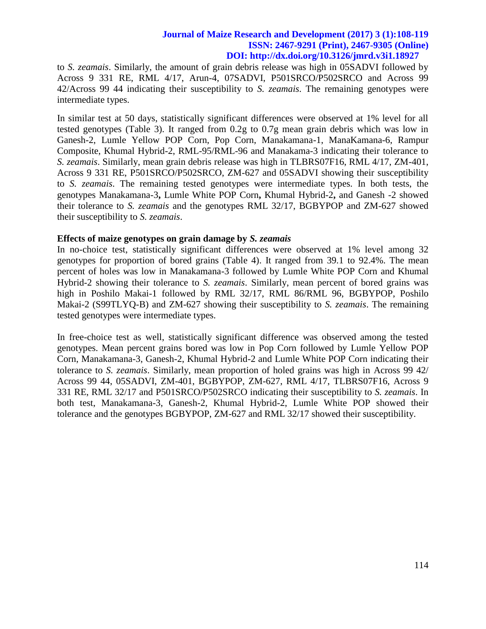to *S. zeamais*. Similarly, the amount of grain debris release was high in 05SADVI followed by Across 9 331 RE, RML 4/17, Arun-4, 07SADVI, P501SRCO/P502SRCO and Across 99 42/Across 99 44 indicating their susceptibility to *S. zeamais*. The remaining genotypes were intermediate types.

In similar test at 50 days, statistically significant differences were observed at 1% level for all tested genotypes (Table 3). It ranged from 0.2g to 0.7g mean grain debris which was low in Ganesh-2, Lumle Yellow POP Corn, Pop Corn, Manakamana-1, ManaKamana-6, Rampur Composite, Khumal Hybrid-2, RML-95/RML-96 and Manakama-3 indicating their tolerance to *S. zeamais*. Similarly, mean grain debris release was high in TLBRS07F16, RML 4/17, ZM-401, Across 9 331 RE, P501SRCO/P502SRCO, ZM-627 and 05SADVI showing their susceptibility to *S. zeamais*. The remaining tested genotypes were intermediate types. In both tests, the genotypes Manakamana-3**,** Lumle White POP Corn**,** Khumal Hybrid-2**,** and Ganesh -2 showed their tolerance to *S. zeamais* and the genotypes RML 32/17, BGBYPOP and ZM-627 showed their susceptibility to *S. zeamais*.

#### **Effects of maize genotypes on grain damage by** *S. zeamais*

In no-choice test, statistically significant differences were observed at 1% level among 32 genotypes for proportion of bored grains (Table 4). It ranged from 39.1 to 92.4%. The mean percent of holes was low in Manakamana-3 followed by Lumle White POP Corn and Khumal Hybrid-2 showing their tolerance to *S. zeamais*. Similarly, mean percent of bored grains was high in Poshilo Makai-1 followed by RML 32/17, RML 86/RML 96, BGBYPOP, Poshilo Makai-2 (S99TLYQ-B) and ZM-627 showing their susceptibility to *S. zeamais*. The remaining tested genotypes were intermediate types.

In free-choice test as well, statistically significant difference was observed among the tested genotypes. Mean percent grains bored was low in Pop Corn followed by Lumle Yellow POP Corn, Manakamana-3, Ganesh-2, Khumal Hybrid-2 and Lumle White POP Corn indicating their tolerance to *S. zeamais*. Similarly, mean proportion of holed grains was high in Across 99 42/ Across 99 44, 05SADVI, ZM-401, BGBYPOP, ZM-627, RML 4/17, TLBRS07F16, Across 9 331 RE, RML 32/17 and P501SRCO/P502SRCO indicating their susceptibility to *S. zeamais*. In both test, Manakamana-3, Ganesh-2, Khumal Hybrid-2, Lumle White POP showed their tolerance and the genotypes BGBYPOP, ZM-627 and RML 32/17 showed their susceptibility.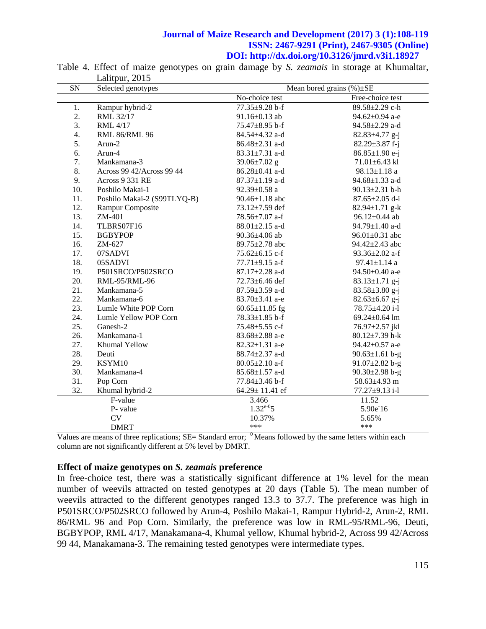| <b>SN</b> | Selected genotypes          |                      | Mean bored grains $(\%)\pm$ SE |
|-----------|-----------------------------|----------------------|--------------------------------|
|           |                             | No-choice test       | Free-choice test               |
| 1.        | Rampur hybrid-2             | $77.35 \pm 9.28$ b-f | 89.58±2.29 c-h                 |
| 2.        | RML 32/17                   | $91.16 \pm 0.13$ ab  | 94.62±0.94 a-e                 |
| 3.        | <b>RML</b> 4/17             | 75.47±8.95 b-f       | 94.58±2.29 a-d                 |
| 4.        | <b>RML 86/RML 96</b>        | $84.54 \pm 4.32$ a-d | $82.83 \pm 4.77$ g-j           |
| 5.        | Arun-2                      | 86.48±2.31 a-d       | $82.29 \pm 3.87$ f-j           |
| 6.        | Arun-4                      | $83.31 \pm 7.31$ a-d | 86.85±1.90 e-j                 |
| 7.        | Mankamana-3                 | 39.06 $\pm$ 7.02 g   | $71.01 \pm 6.43$ kl            |
| 8.        | Across 99 42/Across 99 44   | 86.28±0.41 a-d       | 98.13±1.18 a                   |
| 9.        | Across 9 331 RE             | $87.37 \pm 1.19$ a-d | 94.68 $\pm$ 1.33 a-d           |
| 10.       | Poshilo Makai-1             | 92.39 $\pm$ 0.58 a   | $90.13 \pm 2.31$ b-h           |
| 11.       | Poshilo Makai-2 (S99TLYQ-B) | $90.46 \pm 1.18$ abc | 87.65±2.05 d-i                 |
| 12.       | Rampur Composite            | 73.12±7.59 def       | $82.94 \pm 1.71$ g-k           |
| 13.       | ZM-401                      | 78.56 $\pm$ 7.07 a-f | 96.12 $\pm$ 0.44 ab            |
| 14.       | TLBRS07F16                  | $88.01 \pm 2.15$ a-d | 94.79±1.40 a-d                 |
| 15.       | <b>BGBYPOP</b>              | 90.36±4.06 ab        | 96.01±0.31 abc                 |
| 16.       | ZM-627                      | 89.75 $\pm$ 2.78 abc | $94.42 \pm 2.43$ abc           |
| 17.       | 07SADVI                     | $75.62 \pm 6.15$ c-f | 93.36 $\pm$ 2.02 a-f           |
| 18.       | 05SADVI                     | 77.71 $\pm$ 9.15 a-f | $97.41 \pm 1.14$ a             |
| 19.       | P501SRCO/P502SRCO           | $87.17 \pm 2.28$ a-d | 94.50 $\pm$ 0.40 a-e           |
| 20.       | RML-95/RML-96               | 72.73±6.46 def       | $83.13 \pm 1.71$ g-j           |
| 21.       | Mankamana-5                 | 87.59±3.59 a-d       | 83.58±3.80 g-j                 |
| 22.       | Mankamana-6                 | $83.70 \pm 3.41$ a-e | $82.63 \pm 6.67$ g-j           |
| 23.       | Lumle White POP Corn        | $60.65 \pm 11.85$ fg | 78.75±4.20 i-l                 |
| 24.       | Lumle Yellow POP Corn       | 78.33±1.85 b-f       | 69.24±0.64 lm                  |
| 25.       | Ganesh-2                    | $75.48 \pm 5.55$ c-f | 76.97±2.57 jkl                 |
| 26.       | Mankamana-1                 | 83.68±2.88 a-e       | $80.12 \pm 7.39$ h-k           |
| 27.       | Khumal Yellow               | 82.32±1.31 a-e       | 94.42±0.57 a-e                 |
| 28.       | Deuti                       | 88.74 $\pm$ 2.37 a-d | $90.63 \pm 1.61$ b-g           |
| 29.       | KSYM10                      | $80.05 \pm 2.10$ a-f | 91.07 $\pm$ 2.82 b-g           |
| 30.       | Mankamana-4                 | $85.68 \pm 1.57$ a-d | $90.30 \pm 2.98$ b-g           |
| 31.       | Pop Corn                    | $77.84 \pm 3.46$ b-f | $58.63 \pm 4.93$ m             |
| 32.       | Khumal hybrid-2             | 64.29± 11.41 ef      | 77.27±9.13 i-l                 |
|           | F-value                     | 3.466                | 11.52                          |
|           | P- value                    | $1.32^{e-0}5$        | 5.90e <sup>16</sup>            |
|           | CV                          | 10.37%               | 5.65%                          |
|           | <b>DMRT</b>                 | ***                  | ***                            |

Table 4. Effect of maize genotypes on grain damage by *S. zeamais* in storage at Khumaltar, Lalitpur, 2015

Values are means of three replications;  $SE = Standard$  error;  $<sup>0</sup>$  Means followed by the same letters within each</sup> column are not significantly different at 5% level by DMRT.

#### **Effect of maize genotypes on** *S. zeamais* **preference**

In free-choice test, there was a statistically significant difference at 1% level for the mean number of weevils attracted on tested genotypes at 20 days (Table 5). The mean number of weevils attracted to the different genotypes ranged 13.3 to 37.7. The preference was high in P501SRCO/P502SRCO followed by Arun-4, Poshilo Makai-1, Rampur Hybrid-2, Arun-2, RML 86/RML 96 and Pop Corn. Similarly, the preference was low in RML-95/RML-96, Deuti, BGBYPOP, RML 4/17, Manakamana-4, Khumal yellow, Khumal hybrid-2, Across 99 42/Across 99 44, Manakamana-3. The remaining tested genotypes were intermediate types.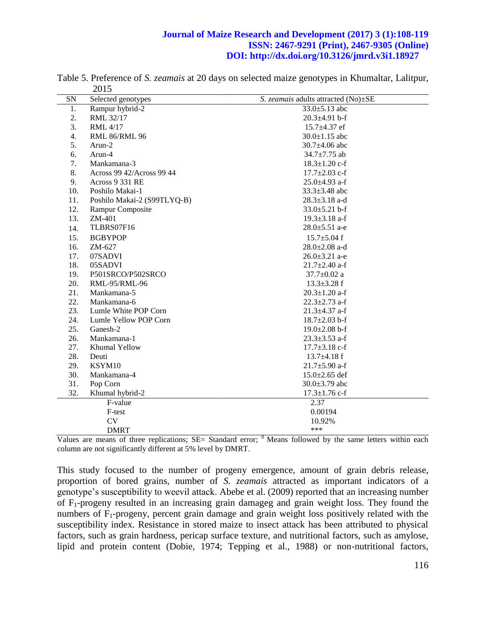| SN               | Selected genotypes          | S. <i>zeamais</i> adults attracted (No) $\pm$ SE |
|------------------|-----------------------------|--------------------------------------------------|
| 1.               | Rampur hybrid-2             | $33.0 \pm 5.13$ abc                              |
| 2.               | RML 32/17                   | $20.3 \pm 4.91$ b-f                              |
| 3.               | <b>RML</b> 4/17             | $15.7 \pm 4.37$ ef                               |
| $\overline{4}$ . | <b>RML 86/RML 96</b>        | $30.0 \pm 1.15$ abc                              |
| 5.               | Arun-2                      | $30.7 \pm 4.06$ abc                              |
| 6.               | Arun-4                      | $34.7 \pm 7.75$ ab                               |
| 7.               | Mankamana-3                 | $18.3 \pm 1.20$ c-f                              |
| 8.               | Across 99 42/Across 99 44   | $17.7 \pm 2.03$ c-f                              |
| 9.               | Across 9 331 RE             | $25.0 \pm 4.93$ a-f                              |
| 10.              | Poshilo Makai-1             | $33.3 \pm 3.48$ abc                              |
| 11.              | Poshilo Makai-2 (S99TLYQ-B) | $28.3 \pm 3.18$ a-d                              |
| 12.              | Rampur Composite            | $33.0 \pm 5.21$ b-f                              |
| 13.              | ZM-401                      | $19.3 \pm 3.18$ a-f                              |
| 14.              | TLBRS07F16                  | $28.0 \pm 5.51$ a-e                              |
| 15.              | <b>BGBYPOP</b>              | $15.7 \pm 5.04$ f                                |
| 16.              | ZM-627                      | $28.0 \pm 2.08$ a-d                              |
| 17.              | 07SADVI                     | $26.0 \pm 3.21$ a-e                              |
| 18.              | 05SADVI                     | $21.7 \pm 2.40$ a-f                              |
| 19.              | P501SRCO/P502SRCO           | $37.7 \pm 0.02$ a                                |
| 20.              | RML-95/RML-96               | $13.3 \pm 3.28$ f                                |
| 21.              | Mankamana-5                 | $20.3 \pm 1.20$ a-f                              |
| 22.              | Mankamana-6                 | $22.3 \pm 2.73$ a-f                              |
| 23.              | Lumle White POP Corn        | $21.3 \pm 4.37$ a-f                              |
| 24.              | Lumle Yellow POP Corn       | $18.7 \pm 2.03$ b-f                              |
| 25.              | Ganesh-2                    | $19.0 \pm 2.08$ b-f                              |
| 26.              | Mankamana-1                 | $23.3 \pm 3.53$ a-f                              |
| 27.              | Khumal Yellow               | $17.7 \pm 3.18$ c-f                              |
| 28.              | Deuti                       | $13.7\pm4.18$ f                                  |
| 29.              | KSYM10                      | $21.7 \pm 5.90$ a-f                              |
| 30.              | Mankamana-4                 | $15.0 \pm 2.65$ def                              |
| 31.              | Pop Corn                    | $30.0 \pm 3.79$ abc                              |
| 32.              | Khumal hybrid-2             | $17.3 \pm 1.76$ c-f                              |
|                  | F-value                     | 2.37                                             |
|                  | F-test                      | 0.00194                                          |
|                  | <b>CV</b>                   | 10.92%                                           |
|                  | <b>DMRT</b>                 | ***                                              |

Table 5. Preference of *S. zeamais* at 20 days on selected maize genotypes in Khumaltar, Lalitpur, 2015

Values are means of three replications;  $SE =$  Standard error;  $<sup>0</sup>$  Means followed by the same letters within each</sup> column are not significantly different at 5% level by DMRT.

This study focused to the number of progeny emergence, amount of grain debris release, proportion of bored grains, number of *S. zeamais* attracted as important indicators of a genotype's susceptibility to weevil attack. Abebe et al. (2009) reported that an increasing number of F1-progeny resulted in an increasing grain damageg and grain weight loss. They found the numbers of  $F_1$ -progeny, percent grain damage and grain weight loss positively related with the susceptibility index. Resistance in stored maize to insect attack has been attributed to physical factors, such as grain hardness, pericap surface texture, and nutritional factors, such as amylose, lipid and protein content (Dobie, 1974; Tepping et al., 1988) or non-nutritional factors,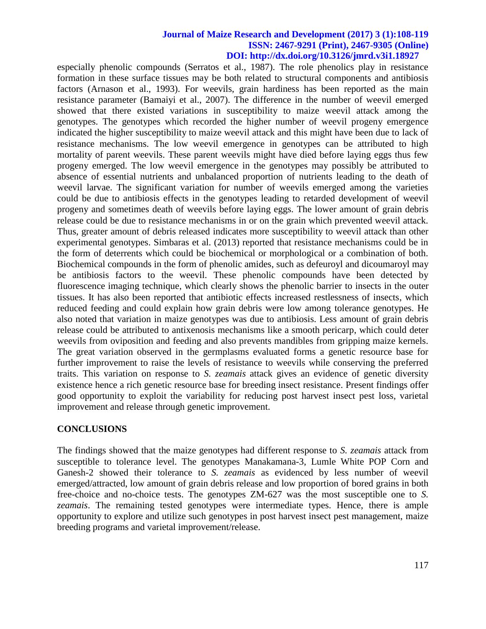especially phenolic compounds (Serratos et al., 1987). The role phenolics play in resistance formation in these surface tissues may be both related to structural components and antibiosis factors (Arnason et al., 1993). For weevils, grain hardiness has been reported as the main resistance parameter (Bamaiyi et al., 2007). The difference in the number of weevil emerged showed that there existed variations in susceptibility to maize weevil attack among the genotypes. The genotypes which recorded the higher number of weevil progeny emergence indicated the higher susceptibility to maize weevil attack and this might have been due to lack of resistance mechanisms. The low weevil emergence in genotypes can be attributed to high mortality of parent weevils. These parent weevils might have died before laying eggs thus few progeny emerged. The low weevil emergence in the genotypes may possibly be attributed to absence of essential nutrients and unbalanced proportion of nutrients leading to the death of weevil larvae. The significant variation for number of weevils emerged among the varieties could be due to antibiosis effects in the genotypes leading to retarded development of weevil progeny and sometimes death of weevils before laying eggs. The lower amount of grain debris release could be due to resistance mechanisms in or on the grain which prevented weevil attack. Thus, greater amount of debris released indicates more susceptibility to weevil attack than other experimental genotypes. Simbaras et al. (2013) reported that resistance mechanisms could be in the form of deterrents which could be biochemical or morphological or a combination of both. Biochemical compounds in the form of phenolic amides, such as defeuroyl and dicoumaroyl may be antibiosis factors to the weevil. These phenolic compounds have been detected by fluorescence imaging technique, which clearly shows the phenolic barrier to insects in the outer tissues. It has also been reported that antibiotic effects increased restlessness of insects, which reduced feeding and could explain how grain debris were low among tolerance genotypes. He also noted that variation in maize genotypes was due to antibiosis. Less amount of grain debris release could be attributed to antixenosis mechanisms like a smooth pericarp, which could deter weevils from oviposition and feeding and also prevents mandibles from gripping maize kernels. The great variation observed in the germplasms evaluated forms a genetic resource base for further improvement to raise the levels of resistance to weevils while conserving the preferred traits. This variation on response to *S. zeamais* attack gives an evidence of genetic diversity existence hence a rich genetic resource base for breeding insect resistance. Present findings offer good opportunity to exploit the variability for reducing post harvest insect pest loss, varietal improvement and release through genetic improvement.

# **CONCLUSIONS**

The findings showed that the maize genotypes had different response to *S. zeamais* attack from susceptible to tolerance level. The genotypes Manakamana-3, Lumle White POP Corn and Ganesh-2 showed their tolerance to *S. zeamais* as evidenced by less number of weevil emerged/attracted, low amount of grain debris release and low proportion of bored grains in both free-choice and no-choice tests. The genotypes ZM-627 was the most susceptible one to *S. zeamais*. The remaining tested genotypes were intermediate types. Hence, there is ample opportunity to explore and utilize such genotypes in post harvest insect pest management, maize breeding programs and varietal improvement/release.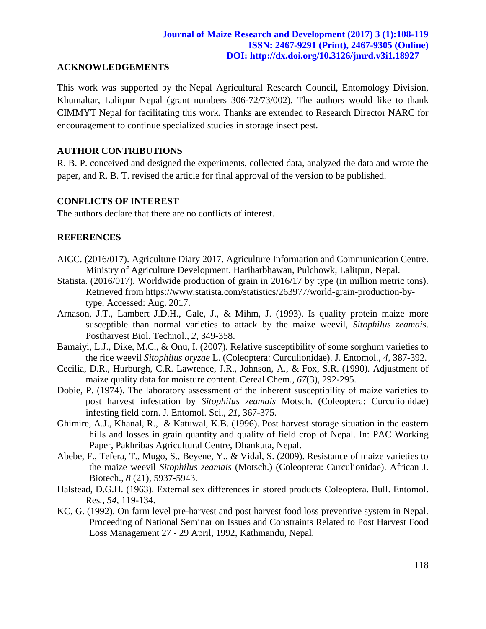### **ACKNOWLEDGEMENTS**

This work was supported by the Nepal Agricultural Research Council, Entomology Division, Khumaltar, Lalitpur Nepal (grant numbers 306-72/73/002). The authors would like to thank CIMMYT Nepal for facilitating this work. Thanks are extended to Research Director NARC for encouragement to continue specialized studies in storage insect pest.

# **AUTHOR CONTRIBUTIONS**

R. B. P. conceived and designed the experiments, collected data, analyzed the data and wrote the paper, and R. B. T. revised the article for final approval of the version to be published.

## **CONFLICTS OF INTEREST**

The authors declare that there are no conflicts of interest.

## **REFERENCES**

- AICC. (2016/017). Agriculture Diary 2017. Agriculture Information and Communication Centre. Ministry of Agriculture Development. Hariharbhawan, Pulchowk, Lalitpur, Nepal.
- Statista. (2016/017). Worldwide production of grain in 2016/17 by type (in million metric tons). Retrieved from [https://www.statista.com/statistics/263977/world-grain-production-by](https://www.statista.com/statistics/263977/world-grain-production-by-type)[type.](https://www.statista.com/statistics/263977/world-grain-production-by-type) Accessed: Aug. 2017.
- Arnason, J.T., Lambert J.D.H., Gale, J., & Mihm, J. (1993). Is quality protein maize more susceptible than normal varieties to attack by the maize weevil, *Sitophilus zeamais*. Postharvest Biol. Technol., *2*, 349-358.
- Bamaiyi, L.J., Dike, M.C., & Onu, I. (2007). Relative susceptibility of some sorghum varieties to the rice weevil *Sitophilus oryzae* L. (Coleoptera: Curculionidae). J. Entomol., *4*, 387-392.
- Cecilia, D.R., Hurburgh, C.R. Lawrence, J.R., Johnson, A., & Fox, S.R. (1990). Adjustment of maize quality data for moisture content. Cereal Chem., *67*(3), 292-295.
- Dobie, P. (1974). The laboratory assessment of the inherent susceptibility of maize varieties to post harvest infestation by *Sitophilus zeamais* Motsch. (Coleoptera: Curculionidae) infesting field corn. J. Entomol. Sci., *21*, 367-375.
- Ghimire, A.J., Khanal, R., & Katuwal, K.B. (1996). Post harvest storage situation in the eastern hills and losses in grain quantity and quality of field crop of Nepal. In: PAC Working Paper, Pakhribas Agricultural Centre, Dhankuta, Nepal.
- Abebe, F., Tefera, T., Mugo, S., Beyene, Y., & Vidal, S. (2009). Resistance of maize varieties to the maize weevil *Sitophilus zeamais* (Motsch.) (Coleoptera: Curculionidae). African J. Biotech., *8* (21), 5937-5943.
- Halstead, D.G.H. (1963). External sex differences in stored products Coleoptera. Bull. Entomol. Res*., 54*, 119-134.
- KC, G. (1992). On farm level pre-harvest and post harvest food loss preventive system in Nepal. Proceeding of National Seminar on Issues and Constraints Related to Post Harvest Food Loss Management 27 - 29 April, 1992, Kathmandu, Nepal.